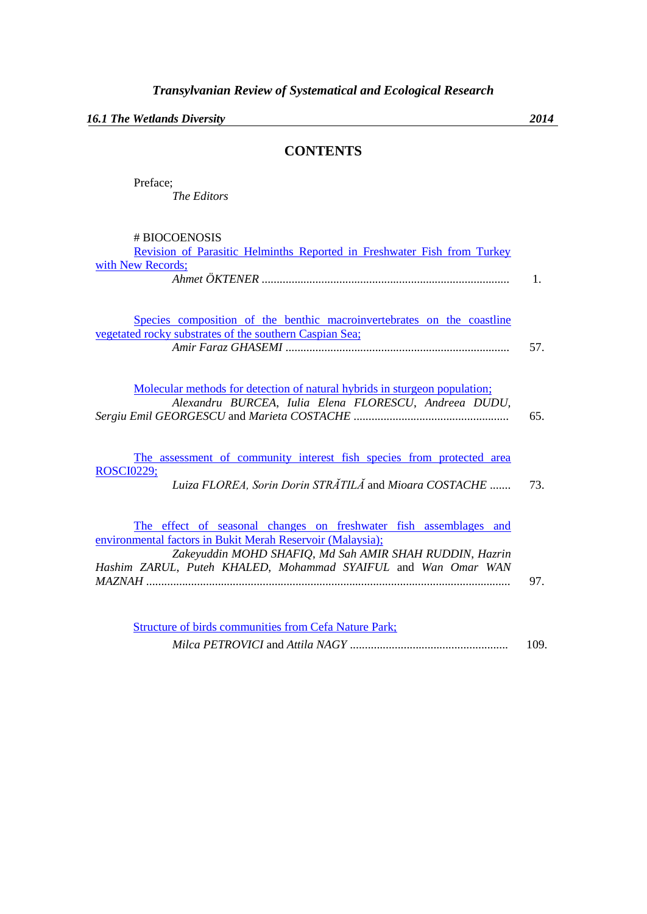*16.1 The Wetlands Diversity 2014*

## **CONTENTS**

| Preface; |  |
|----------|--|
| $\sim$   |  |

*The Editors*

| # BIOCOENOSIS                                                              |      |
|----------------------------------------------------------------------------|------|
| Revision of Parasitic Helminths Reported in Freshwater Fish from Turkey    |      |
| with New Records;                                                          |      |
|                                                                            | 1.   |
|                                                                            |      |
|                                                                            |      |
| Species composition of the benthic macroinvertebrates on the coastline     |      |
| vegetated rocky substrates of the southern Caspian Sea;                    |      |
|                                                                            | 57.  |
|                                                                            |      |
|                                                                            |      |
| Molecular methods for detection of natural hybrids in sturgeon population; |      |
| Alexandru BURCEA, Iulia Elena FLORESCU, Andreea DUDU,                      |      |
|                                                                            | 65.  |
|                                                                            |      |
|                                                                            |      |
| The assessment of community interest fish species from protected area      |      |
| <b>ROSCI0229;</b>                                                          |      |
| Luiza FLOREA, Sorin Dorin STRĂTILĂ and Mioara COSTACHE                     | 73.  |
|                                                                            |      |
|                                                                            |      |
| The effect of seasonal changes on freshwater fish assemblages and          |      |
| environmental factors in Bukit Merah Reservoir (Malaysia);                 |      |
| Zakeyuddin MOHD SHAFIQ, Md Sah AMIR SHAH RUDDIN, Hazrin                    |      |
| Hashim ZARUL, Puteh KHALED, Mohammad SYAIFUL and Wan Omar WAN              |      |
|                                                                            | 97.  |
|                                                                            |      |
|                                                                            |      |
| <b>Structure of birds communities from Cefa Nature Park;</b>               |      |
|                                                                            | 109. |
|                                                                            |      |